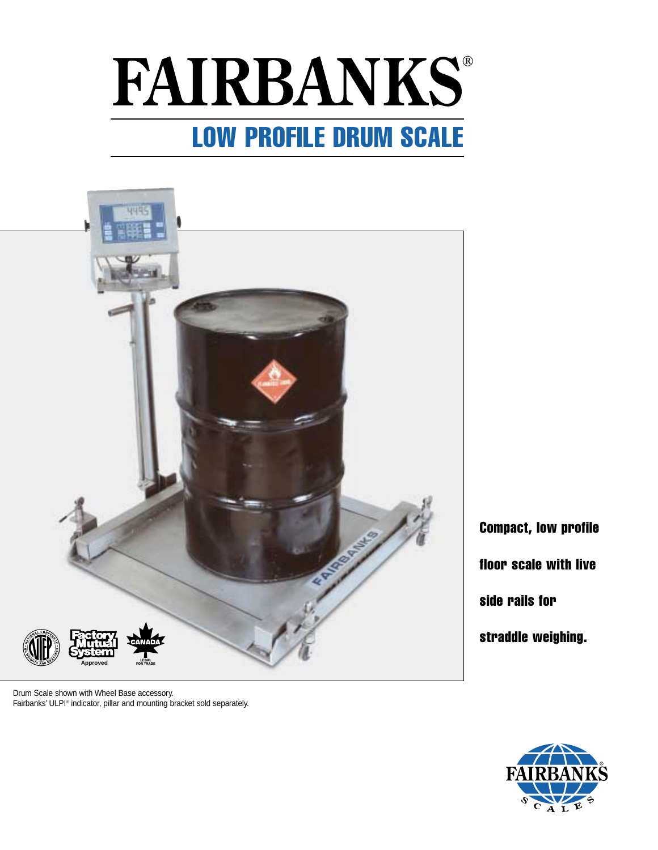# **FAIRBANKS®** LOW PROFILE DRUM SCALE



Drum Scale shown with Wheel Base accessory. Fairbanks' ULPI® indicator, pillar and mounting bracket sold separately. Compact, low profile floor scale with live side rails for straddle weighing.